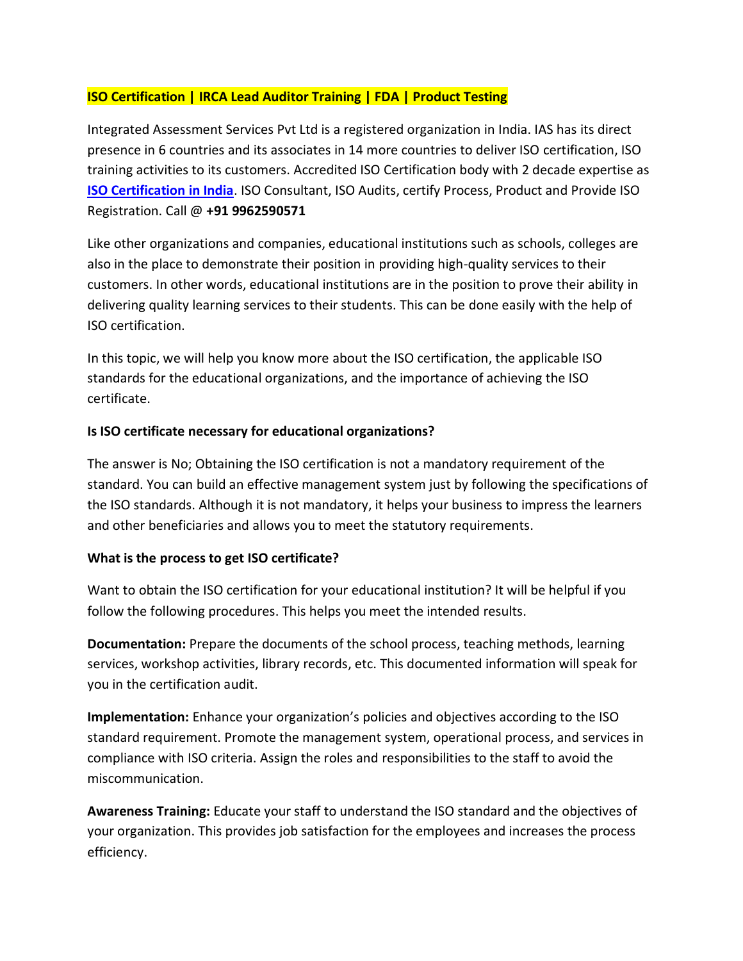## **ISO Certification | IRCA Lead Auditor Training | FDA | Product Testing**

Integrated Assessment Services Pvt Ltd is a registered organization in India. IAS has its direct presence in 6 countries and its associates in 14 more countries to deliver ISO certification, ISO training activities to its customers. Accredited ISO Certification body with 2 decade expertise as **[ISO Certification in India](https://www.iascertification.com/)**. ISO Consultant, ISO Audits, certify Process, Product and Provide ISO Registration. Call @ **+91 9962590571**

Like other organizations and companies, educational institutions such as schools, colleges are also in the place to demonstrate their position in providing high-quality services to their customers. In other words, educational institutions are in the position to prove their ability in delivering quality learning services to their students. This can be done easily with the help of ISO certification.

In this topic, we will help you know more about the ISO certification, the applicable ISO standards for the educational organizations, and the importance of achieving the ISO certificate.

## **Is ISO certificate necessary for educational organizations?**

The answer is No; Obtaining the ISO certification is not a mandatory requirement of the standard. You can build an effective management system just by following the specifications of the ISO standards. Although it is not mandatory, it helps your business to impress the learners and other beneficiaries and allows you to meet the statutory requirements.

## **What is the process to get ISO certificate?**

Want to obtain the ISO certification for your educational institution? It will be helpful if you follow the following procedures. This helps you meet the intended results.

**Documentation:** Prepare the documents of the school process, teaching methods, learning services, workshop activities, library records, etc. This documented information will speak for you in the certification audit.

**Implementation:** Enhance your organization's policies and objectives according to the ISO standard requirement. Promote the management system, operational process, and services in compliance with ISO criteria. Assign the roles and responsibilities to the staff to avoid the miscommunication.

**Awareness Training:** Educate your staff to understand the ISO standard and the objectives of your organization. This provides job satisfaction for the employees and increases the process efficiency.